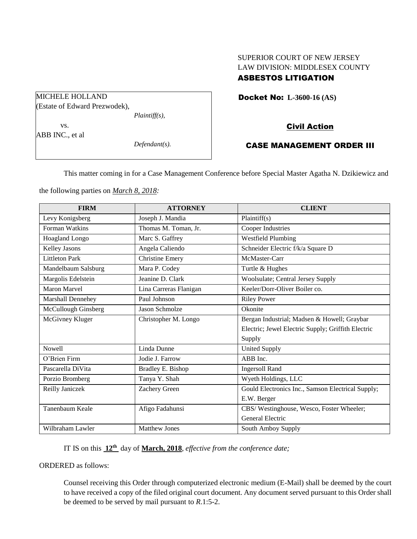# SUPERIOR COURT OF NEW JERSEY LAW DIVISION: MIDDLESEX COUNTY

## ASBESTOS LITIGATION

Docket No: **L-3600-16 (AS)** 

## Civil Action

## CASE MANAGEMENT ORDER III

This matter coming in for a Case Management Conference before Special Master Agatha N. Dzikiewicz and

the following parties on *March 8, 2018:*

| <b>FIRM</b>              | <b>ATTORNEY</b>        | <b>CLIENT</b>                                      |
|--------------------------|------------------------|----------------------------------------------------|
| Levy Konigsberg          | Joseph J. Mandia       | Plaintiff(s)                                       |
| Forman Watkins           | Thomas M. Toman, Jr.   | Cooper Industries                                  |
| Hoagland Longo           | Marc S. Gaffrey        | <b>Westfield Plumbing</b>                          |
| Kelley Jasons            | Angela Caliendo        | Schneider Electric f/k/a Square D                  |
| <b>Littleton Park</b>    | <b>Christine Emery</b> | McMaster-Carr                                      |
| Mandelbaum Salsburg      | Mara P. Codey          | Turtle & Hughes                                    |
| Margolis Edelstein       | Jeanine D. Clark       | Woolsulate; Central Jersey Supply                  |
| <b>Maron Marvel</b>      | Lina Carreras Flanigan | Keeler/Dorr-Oliver Boiler co.                      |
| <b>Marshall Dennehey</b> | Paul Johnson           | <b>Riley Power</b>                                 |
| McCullough Ginsberg      | Jason Schmolze         | Okonite                                            |
| McGivney Kluger          | Christopher M. Longo   | Bergan Industrial; Madsen & Howell; Graybar        |
|                          |                        | Electric; Jewel Electric Supply; Griffith Electric |
|                          |                        | Supply                                             |
| <b>Nowell</b>            | Linda Dunne            | <b>United Supply</b>                               |
| O'Brien Firm             | Jodie J. Farrow        | ABB Inc.                                           |
| Pascarella DiVita        | Bradley E. Bishop      | <b>Ingersoll Rand</b>                              |
| Porzio Bromberg          | Tanya Y. Shah          | Wyeth Holdings, LLC                                |
| Reilly Janiczek          | Zachery Green          | Gould Electronics Inc., Samson Electrical Supply;  |
|                          |                        | E.W. Berger                                        |
| Tanenbaum Keale          | Afigo Fadahunsi        | CBS/Westinghouse, Wesco, Foster Wheeler;           |
|                          |                        | General Electric                                   |
| Wilbraham Lawler         | <b>Matthew Jones</b>   | South Amboy Supply                                 |

IT IS on this **12th** day of **March, 2018**, *effective from the conference date;*

ORDERED as follows:

Counsel receiving this Order through computerized electronic medium (E-Mail) shall be deemed by the court to have received a copy of the filed original court document. Any document served pursuant to this Order shall be deemed to be served by mail pursuant to *R*.1:5-2.

MICHELE HOLLAND (Estate of Edward Prezwodek), *Plaintiff(s),* vs.

ABB INC., et al

*Defendant(s).*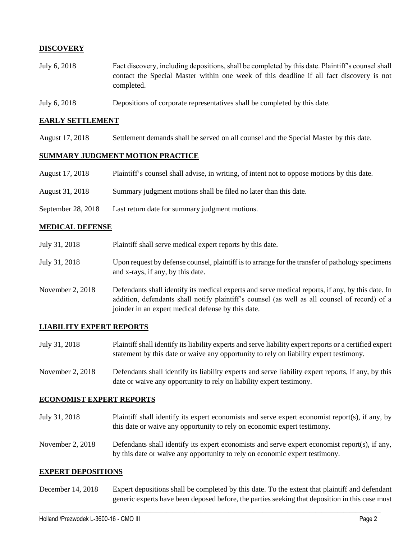## **DISCOVERY**

- July 6, 2018 Fact discovery, including depositions, shall be completed by this date. Plaintiff's counsel shall contact the Special Master within one week of this deadline if all fact discovery is not completed.
- July 6, 2018 Depositions of corporate representatives shall be completed by this date.

#### **EARLY SETTLEMENT**

August 17, 2018 Settlement demands shall be served on all counsel and the Special Master by this date.

#### **SUMMARY JUDGMENT MOTION PRACTICE**

- August 17, 2018 Plaintiff's counsel shall advise, in writing, of intent not to oppose motions by this date.
- August 31, 2018 Summary judgment motions shall be filed no later than this date.
- September 28, 2018 Last return date for summary judgment motions.

#### **MEDICAL DEFENSE**

- July 31, 2018 Plaintiff shall serve medical expert reports by this date.
- July 31, 2018 Upon request by defense counsel, plaintiff is to arrange for the transfer of pathology specimens and x-rays, if any, by this date.
- November 2, 2018 Defendants shall identify its medical experts and serve medical reports, if any, by this date. In addition, defendants shall notify plaintiff's counsel (as well as all counsel of record) of a joinder in an expert medical defense by this date.

#### **LIABILITY EXPERT REPORTS**

- July 31, 2018 Plaintiff shall identify its liability experts and serve liability expert reports or a certified expert statement by this date or waive any opportunity to rely on liability expert testimony.
- November 2, 2018 Defendants shall identify its liability experts and serve liability expert reports, if any, by this date or waive any opportunity to rely on liability expert testimony.

#### **ECONOMIST EXPERT REPORTS**

- July 31, 2018 Plaintiff shall identify its expert economists and serve expert economist report(s), if any, by this date or waive any opportunity to rely on economic expert testimony.
- November 2, 2018 Defendants shall identify its expert economists and serve expert economist report(s), if any, by this date or waive any opportunity to rely on economic expert testimony.

#### **EXPERT DEPOSITIONS**

December 14, 2018 Expert depositions shall be completed by this date. To the extent that plaintiff and defendant generic experts have been deposed before, the parties seeking that deposition in this case must

 $\_$  ,  $\_$  ,  $\_$  ,  $\_$  ,  $\_$  ,  $\_$  ,  $\_$  ,  $\_$  ,  $\_$  ,  $\_$  ,  $\_$  ,  $\_$  ,  $\_$  ,  $\_$  ,  $\_$  ,  $\_$  ,  $\_$  ,  $\_$  ,  $\_$  ,  $\_$  ,  $\_$  ,  $\_$  ,  $\_$  ,  $\_$  ,  $\_$  ,  $\_$  ,  $\_$  ,  $\_$  ,  $\_$  ,  $\_$  ,  $\_$  ,  $\_$  ,  $\_$  ,  $\_$  ,  $\_$  ,  $\_$  ,  $\_$  ,